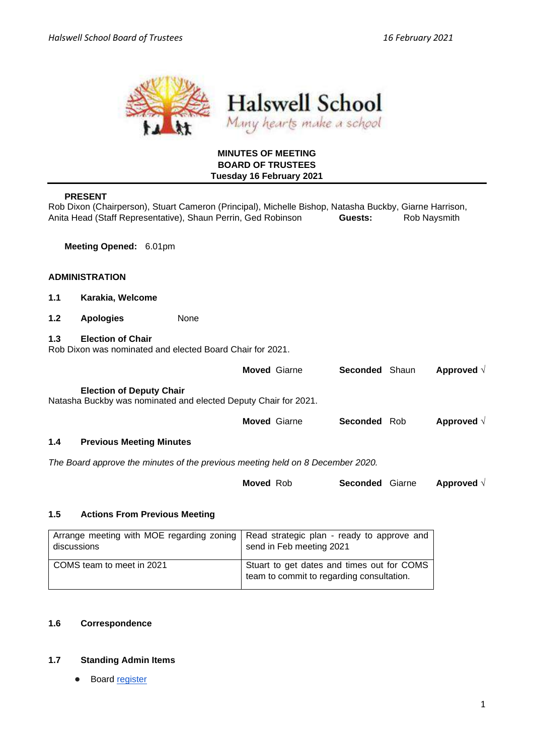

# **MINUTES OF MEETING BOARD OF TRUSTEES Tuesday 16 February 2021**

# **PRESENT**

Rob Dixon (Chairperson), Stuart Cameron (Principal), Michelle Bishop, Natasha Buckby, Giarne Harrison, Anita Head (Staff Representative), Shaun Perrin, Ged Robinson **Guests:** Rob Naysmith

**Meeting Opened:** 6.01pm

### **ADMINISTRATION**

- **1.1 Karakia, Welcome**
- **1.2 Apologies** None
- **1.3 Election of Chair**

Rob Dixon was nominated and elected Board Chair for 2021.

|                                                                                                                                                                        |                                 | <b>Moved Giarne</b> | <b>Seconded Shaun</b> |  | Approved $\sqrt{}$ |  |  |  |
|------------------------------------------------------------------------------------------------------------------------------------------------------------------------|---------------------------------|---------------------|-----------------------|--|--------------------|--|--|--|
| <b>Election of Deputy Chair</b><br>Natasha Buckby was nominated and elected Deputy Chair for 2021.<br>Approved $\sqrt{}$<br><b>Moved Giarne</b><br><b>Seconded Rob</b> |                                 |                     |                       |  |                    |  |  |  |
|                                                                                                                                                                        |                                 |                     |                       |  |                    |  |  |  |
| 1.4                                                                                                                                                                    | <b>Previous Meeting Minutes</b> |                     |                       |  |                    |  |  |  |
|                                                                                                                                                                        |                                 |                     |                       |  |                    |  |  |  |

*The Board approve the minutes of the previous meeting held on 8 December 2020.* 

| <b>Moved Rob</b> | <b>Seconded</b> Giarne |  | Approved $\sqrt{}$ |
|------------------|------------------------|--|--------------------|
|------------------|------------------------|--|--------------------|

#### **1.5 Actions From Previous Meeting**

| Arrange meeting with MOE regarding zoning   Read strategic plan - ready to approve and<br>discussions | send in Feb meeting 2021                                                                |
|-------------------------------------------------------------------------------------------------------|-----------------------------------------------------------------------------------------|
| COMS team to meet in 2021                                                                             | Stuart to get dates and times out for COMS<br>team to commit to regarding consultation. |

# **1.6 Correspondence**

#### **1.7 Standing Admin Items**

● Boar[d](https://drive.google.com/open?id=1LgYeP3fbHNJrrdwtKhmni7bUn5KZf6AdawXvp-8GM5I) [register](https://drive.google.com/open?id=1LgYeP3fbHNJrrdwtKhmni7bUn5KZf6AdawXvp-8GM5I)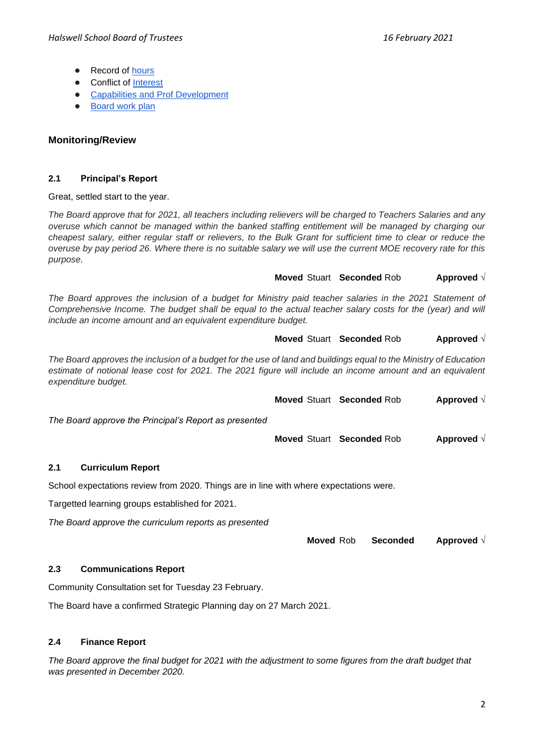- Record o[f](https://docs.google.com/spreadsheets/d/1ooqHmfuVcjAxJj74l2cyNrLx6E1GWjN2CMAD-VWrSTk/edit#gid=1585903216) hours
- Con[f](https://drive.google.com/open?id=1LpqgUK6iwhrXOSzvrxmLTcgpA-wsuZg7DU-aIw9nGAw)lict of [Interest](https://drive.google.com/open?id=1LpqgUK6iwhrXOSzvrxmLTcgpA-wsuZg7DU-aIw9nGAw)
- [Capabilities and Prof Development](https://drive.google.com/open?id=1Vq0YrIsDwmndZRHvvGvFtK1YOlEWlifxCfIAxHaVDlo)
- **[Board work plan](https://docs.google.com/document/d/16WAgjXfZuFQ9Un3Lb7bJ9NQj9tU1J26Koes3jzuU9jQ/edit)**

# **Monitoring/Review**

# **2.1 Principal's Report**

#### Great, settled start to the year.

*The Board approve that for 2021, all teachers including relievers will be charged to Teachers Salaries and any overuse which cannot be managed within the banked staffing entitlement will be managed by charging our cheapest salary, either regular staff or relievers, to the Bulk Grant for sufficient time to clear or reduce the overuse by pay period 26. Where there is no suitable salary we will use the current MOE recovery rate for this purpose.* 

# **Moved** Stuart **Seconded** Rob **Approved** √

The Board approves the inclusion of a budget for Ministry paid teacher salaries in the 2021 Statement of *Comprehensive Income. The budget shall be equal to the actual teacher salary costs for the (year) and will include an income amount and an equivalent expenditure budget.*

# **Moved** Stuart **Seconded** Rob **Approved** √

*The Board approves the inclusion of a budget for the use of land and buildings equal to the Ministry of Education estimate of notional lease cost for 2021. The 2021 figure will include an income amount and an equivalent expenditure budget.*

**Moved** Stuart **Seconded** Rob **Approved** √

*The Board approve the Principal's Report as presented* 

**Moved** Stuart **Seconded** Rob **Approved** √

# **2.1 Curriculum Report**

School expectations review from 2020. Things are in line with where expectations were.

Targetted learning groups established for 2021.

*The Board approve the curriculum reports as presented* 

**Moved** Rob **Seconded Approved** √

# **2.3 Communications Report**

Community Consultation set for Tuesday 23 February.

The Board have a confirmed Strategic Planning day on 27 March 2021.

# **2.4 Finance Report**

*The Board approve the final budget for 2021 with the adjustment to some figures from the draft budget that was presented in December 2020.*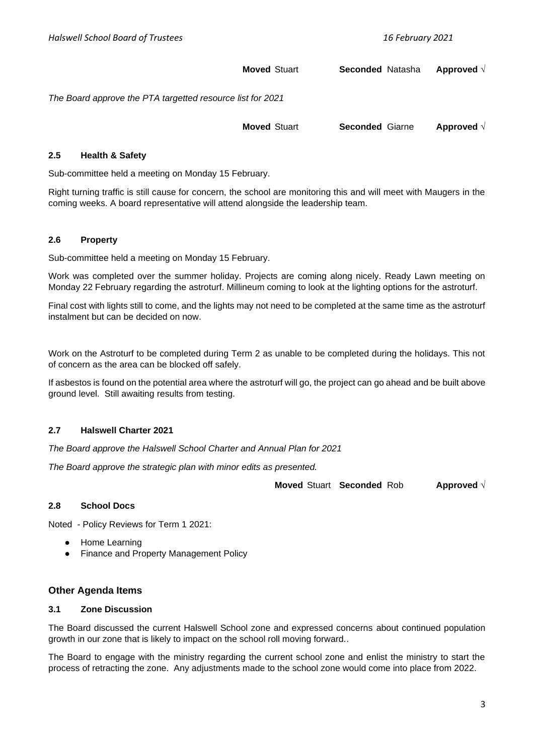**Moved** Stuart **Seconded** Natasha **Approved** √

*The Board approve the PTA targetted resource list for 2021* 

**Moved** Stuart **Seconded** Giarne **Approved** √

#### **2.5 Health & Safety**

Sub-committee held a meeting on Monday 15 February.

Right turning traffic is still cause for concern, the school are monitoring this and will meet with Maugers in the coming weeks. A board representative will attend alongside the leadership team.

#### **2.6 Property**

Sub-committee held a meeting on Monday 15 February.

Work was completed over the summer holiday. Projects are coming along nicely. Ready Lawn meeting on Monday 22 February regarding the astroturf. Millineum coming to look at the lighting options for the astroturf.

Final cost with lights still to come, and the lights may not need to be completed at the same time as the astroturf instalment but can be decided on now.

Work on the Astroturf to be completed during Term 2 as unable to be completed during the holidays. This not of concern as the area can be blocked off safely.

If asbestos is found on the potential area where the astroturf will go, the project can go ahead and be built above ground level. Still awaiting results from testing.

### **2.7 Halswell Charter 2021**

*The Board approve the Halswell School Charter and Annual Plan for 2021* 

*The Board approve the strategic plan with minor edits as presented.* 

**Moved** Stuart **Seconded** Rob **Approved** √

#### **2.8 School Docs**

Noted - Policy Reviews for Term 1 2021:

- **Home Learning**
- **Finance and Property Management Policy**

#### **Other Agenda Items**

#### **3.1 Zone Discussion**

The Board discussed the current Halswell School zone and expressed concerns about continued population growth in our zone that is likely to impact on the school roll moving forward..

The Board to engage with the ministry regarding the current school zone and enlist the ministry to start the process of retracting the zone. Any adjustments made to the school zone would come into place from 2022.